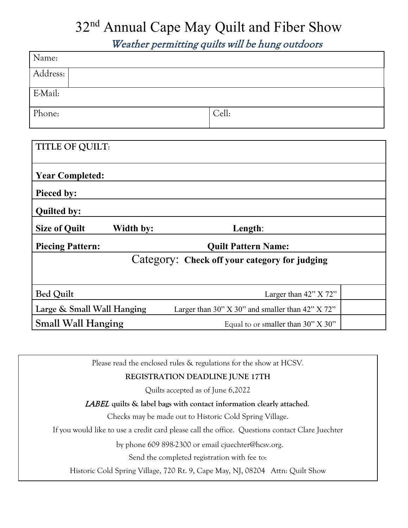## 32<sup>nd</sup> Annual Cape May Quilt and Fiber Show

Weather permitting quilts will be hung outdoors

| Name:                                                                                  |                                    |
|----------------------------------------------------------------------------------------|------------------------------------|
| Address:                                                                               |                                    |
| E-Mail:                                                                                |                                    |
| Phone:                                                                                 | Cell:                              |
|                                                                                        |                                    |
| <b>TITLE OF QUILT:</b>                                                                 |                                    |
| <b>Year Completed:</b>                                                                 |                                    |
| Pieced by:                                                                             |                                    |
| <b>Quilted by:</b>                                                                     |                                    |
| <b>Size of Quilt</b><br>Width by:                                                      | Length:                            |
| <b>Piecing Pattern:</b>                                                                | <b>Quilt Pattern Name:</b>         |
| Category: Check off your category for judging                                          |                                    |
| <b>Bed Quilt</b>                                                                       | Larger than 42" X 72"              |
| Large & Small Wall Hanging<br>Larger than $30"$ X $30"$ and smaller than $42"$ X $72"$ |                                    |
| <b>Small Wall Hanging</b>                                                              | Equal to or smaller than 30" X 30" |

Please read the enclosed rules & regulations for the show at HCSV*.* 

## **REGISTRATION DEADLINE JUNE 17TH**

Quilts accepted as of June 6,2022

## LABEL **quilts & label bags with contact information clearly attached**.

Checks may be made out to Historic Cold Spring Village.

If you would like to use a credit card please call the office. Questions contact Clare Juechter

by phone 609 898-2300 or email cjuechter@hcsv.org.

Send the completed registration with fee to:

Historic Cold Spring Village, 720 Rt. 9, Cape May, NJ, 08204 Attn: Quilt Show